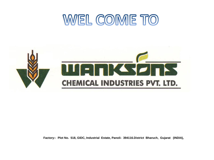# WEL COME TO



**Factory:- Plot No. 518, GIDC, Industrial Estate, Panoli- 394116.District Bharuch, Gujarat (INDIA),**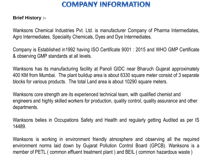## **COMPANY INFORMATION**

#### **Brief History :-**

Wanksons Chemical Industries Pvt. Ltd. is manufacturer Company of Pharma Intermediates, Agro Intermediates, Speciality Chemicals, Dyes and Dye Intermediates.

Company is Established in1992 having ISO Certificate 9001 : 2015 and WHO GMP Certificate & observing GMP standards at all levels.

Wanksons has its manufacturing facility at Panoli GIDC near Bharuch Gujarat approximately 400 KM from Mumbai. The plant buildup area is about 6330 square meter consist of 3 separate blocks for various products. The total Land area is about 10290 square meters.

Wanksons core strength are its experienced technical team, with qualified chemist and engineers and highly skilled workers for production, quality control, quality assurance and other departments.

Wanksons belies in Occupations Safety and Health and regularly getting Audited as per IS 14489.

Wanksons is working in environment friendly atmosphere and observing all the required environment norms laid down by Gujarat Pollution Control Board (GPCB). Wanksons is a member of PETL ( common effluent treatment plant ) and BEIL ( common hazardous waste )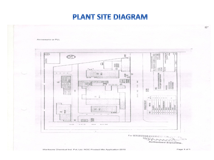## **PLANT SITE DIAGRAM**

Annexure-a-PLL  $\mathbb{R}$  $228$ E. ran wanan ni<br>Indonésia *Sandronal Mercegary*<br>WANKSONS CHEMICAL IND. **SHE** O F. **Now You** š. 一  $\begin{array}{c} \hbox{\scriptsize{max}} \\ \hbox{\scriptsize{0}} \\ \hbox{\scriptsize{0}} \end{array}$ **MAN**<br>SEMA MOTE:<br>Ligt fabapanga port kracorta hatara<br>Leter o Draine radar bir quore  $\overline{a}$  $\alpha$  $_{\rm rec}$ 图 E  $O<sub>O</sub>$  $\overline{c}$ 脚調 8040 292133  $\overline{\mathbb{D}}$ **Foot** 31  $000$  $\circledcirc$  $2818$ 10ROZ 主張<br>星<br>18 3343 illi  $\overline{a}$ 20.43 F. NY 30 國富 SCHEDULE GF ORG SHEET 雇匠抓 **ARCHITECT** MAIL dis . 鼠 下室室  $\sim$  $\omega$  $\sim$ 認識 関 **같으** avou  $801M$  $D - D - D$ NELW OFFIC  $\lambda$ For WANKSONS Authorised Signaldry.  $\approx$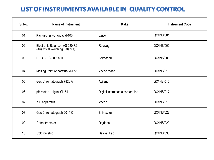## LIST OF INSTRUMENTS AVAILABLE IN QUALITY CONTROL

| Sr.No. | <b>Name of Instrument</b>                                       | <b>Make</b>                     | <b>Instrument Code</b> |
|--------|-----------------------------------------------------------------|---------------------------------|------------------------|
| 01     | Karl-fischer-u aquacal-100                                      | Esico                           | <b>QC/INS/001</b>      |
| 02     | Electronic Balance - AS 220.R2<br>(Analytical Weighing Balance) | Radwag                          | <b>QC/INS/002</b>      |
| 03     | HPLC - LC-2010cHT                                               | Shimadzu                        | <b>QC/INS/009</b>      |
| 04     | Melting Point Apparatus-VMP-5                                   | Veego matic                     | QC/INS/010             |
| 05     | Gas Chromatograph 7820 A                                        | Agilent                         | QC/INS/015             |
| 06     | pH meter - digital CL 54+                                       | Digital instruments corporation | QC/INS/017             |
| 07     | K F Apparatus                                                   | Veego                           | <b>QC/INS/018</b>      |
| 08     | Gas Chromatograph 2014 C                                        | Shimadzu                        | <b>QC/INS/028</b>      |
| 09     | Refractrometer                                                  | Rajdhani                        | <b>QC/INS/029</b>      |
| 10     | Colorometric                                                    | Saswat Lab                      | <b>QC/INS/030</b>      |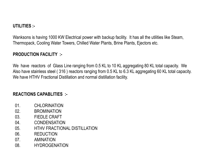#### **UTILITIES :-**

Wanksons is having 1000 KW Electrical power with backup facility. It has all the utilities like Steam, Thermopack, Cooling Water Towers, Chilled Water Plants, Brine Plants, Ejectors etc.

#### **PRODUCTION FACILITY :-**

We have reactors of Glass Line ranging from 0.5 KL to 10 KL aggregating 80 KL total capacity. We Also have stainless steel ( 316 ) reactors ranging from 0.5 KL to 6.3 KL aggregating 60 KL total capacity. We have HTHV Fractional Distillation and normal distillation facility.

#### **REACTIONS CAPABLITIES :-**

- 01 CHI ORINATION
- 02. BROMINATION
- 03. FIEDLE CRAFT
- 04. CONDENSATION
- 05. HTHV FRACTIONAL DISTILLATION
- 06. REDUCTION
- 07. AMINATION
- 08. HYDROGENATION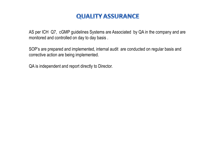## **QUALITY ASSURANCE**

AS per ICH Q7, cGMP guidelines Systems are Associated by QA in the company and are monitored and controlled on day to day basis .

SOP's are prepared and implemented, internal audit are conducted on regular basis and corrective action are being implemented.

QA is independent and report directly to Director.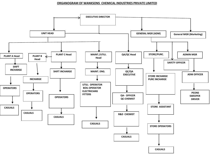#### **ORGANOGRAM OF WANKSONS CHEMICAL INDUSTRIES PRIVATE LIMITED**

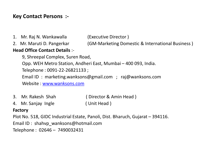### **Key Contact Persons :-**

- 1. Mr. Raj N. Wankawalla (Executive Director )
- 

2. Mr. Maruti D. Pangerkar (GM-Marketing Domestic & International Business )

#### **Head Office Contact Details** :-

9, Shreepal Complex, Suren Road,

Opp. WEH Metro Station, Andheri East, Mumbai – 400 093, India.

Telephone : 0091-22-26821133 ;

Email ID : marketing.wanksons@gmail.com ; raj@wanksons.com

Website : [www.wanksons.com](http://www.wanksons.com/)

- 3. Mr. Rakesh Shah ( Director & Amin Head )
- 4. Mr. Sanjay Ingle ( Unit Head )

#### **Factory**

Plot No. 518, GIDC Industrial Estate, Panoli, Dist. Bharuch, Gujarat – 394116.

Email ID : shahvp\_wanksons@hotmail.com

Telephone : 02646 – 7490032431